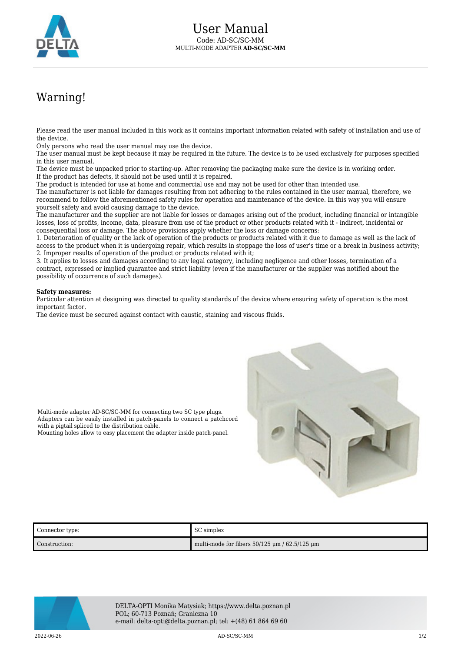

## Warning!

Please read the user manual included in this work as it contains important information related with safety of installation and use of the device.

Only persons who read the user manual may use the device.

The user manual must be kept because it may be required in the future. The device is to be used exclusively for purposes specified in this user manual.

The device must be unpacked prior to starting-up. After removing the packaging make sure the device is in working order. If the product has defects, it should not be used until it is repaired.

The product is intended for use at home and commercial use and may not be used for other than intended use.

The manufacturer is not liable for damages resulting from not adhering to the rules contained in the user manual, therefore, we recommend to follow the aforementioned safety rules for operation and maintenance of the device. In this way you will ensure yourself safety and avoid causing damage to the device.

The manufacturer and the supplier are not liable for losses or damages arising out of the product, including financial or intangible losses, loss of profits, income, data, pleasure from use of the product or other products related with it - indirect, incidental or consequential loss or damage. The above provisions apply whether the loss or damage concerns:

1. Deterioration of quality or the lack of operation of the products or products related with it due to damage as well as the lack of access to the product when it is undergoing repair, which results in stoppage the loss of user's time or a break in business activity; 2. Improper results of operation of the product or products related with it;

3. It applies to losses and damages according to any legal category, including negligence and other losses, termination of a contract, expressed or implied guarantee and strict liability (even if the manufacturer or the supplier was notified about the possibility of occurrence of such damages).

## **Safety measures:**

Particular attention at designing was directed to quality standards of the device where ensuring safety of operation is the most important factor.

The device must be secured against contact with caustic, staining and viscous fluids.



with a pigtail spliced to the distribution cable. Mounting holes allow to easy placement the adapter inside patch-panel.

Multi-mode adapter AD-SC/SC-MM for connecting two SC type plugs. Adapters can be easily installed in patch-panels to connect a patchcord

| Connector type: | SC simplex                                            |
|-----------------|-------------------------------------------------------|
| Construction:   | multi-mode for fibers $50/125 \mu m / 62.5/125 \mu m$ |



DELTA-OPTI Monika Matysiak; https://www.delta.poznan.pl POL; 60-713 Poznań; Graniczna 10 e-mail: delta-opti@delta.poznan.pl; tel: +(48) 61 864 69 60

2022-06-26 AD-SC/SC-MM 1/2